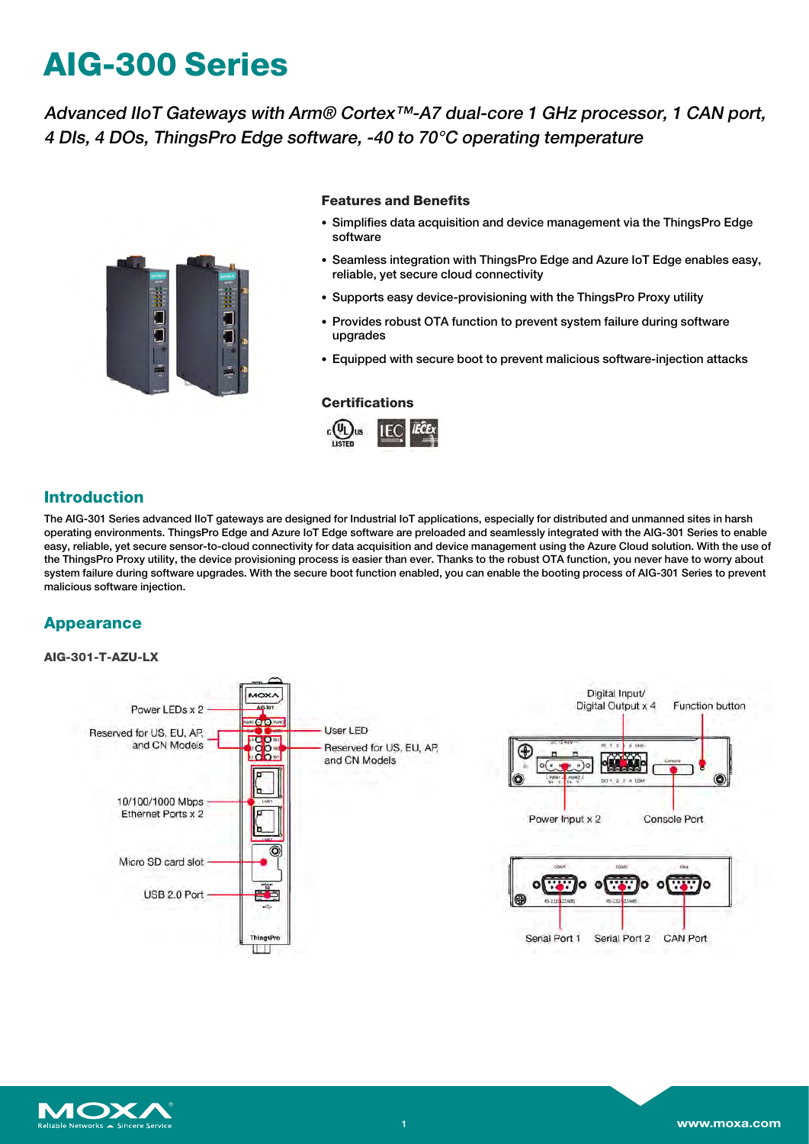# **AIG-300 Series**

Advanced IIoT Gateways with Arm® Cortex™-A7 dual-core 1 GHz processor, 1 CAN port, 4 DIs, 4 DOs, ThingsPro Edge software, -40 to 70°C operating temperature



### **Features and Benefits**

- Simplifies data acquisition and device management via the ThingsPro Edge software
- Seamless integration with ThingsPro Edge and Azure IoT Edge enables easy, reliable, yet secure cloud connectivity
- Supports easy device-provisioning with the ThingsPro Proxy utility
- Provides robust OTA function to prevent system failure during software upgrades
- Equipped with secure boot to prevent malicious software-injection attacks

#### **Certifications**



## **Introduction**

The AIG-301 Series advanced IIoT gateways are designed for Industrial IoT applications, especially for distributed and unmanned sites in harsh operating environments. ThingsPro Edge and Azure IoT Edge software are preloaded and seamlessly integrated with the AIG-301 Series to enable easy, reliable, yet secure sensor-to-cloud connectivity for data acquisition and device management using the Azure Cloud solution. With the use of the ThingsPro Proxy utility, the device provisioning process is easier than ever. Thanks to the robust OTA function, you never have to worry about system failure during software upgrades. With the secure boot function enabled, you can enable the booting process of AIG-301 Series to prevent malicious software injection.

## **Appearance**

#### **AIG-301-T-AZU-LX**



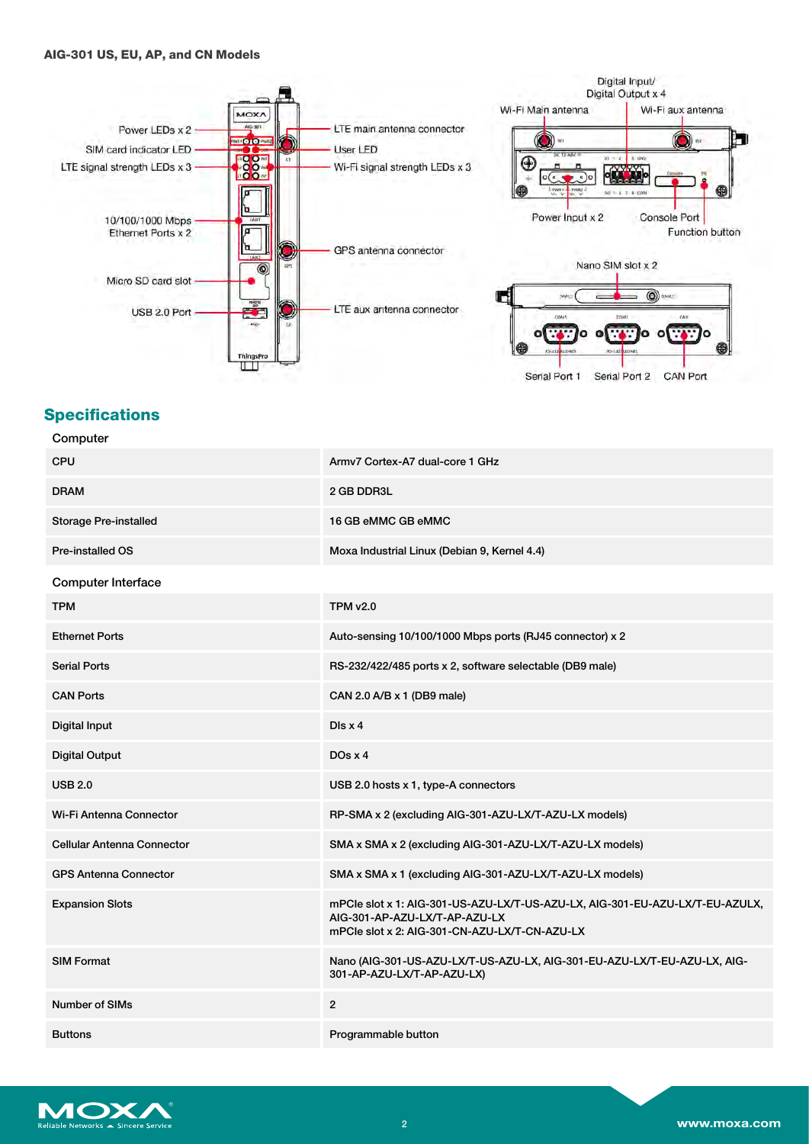#### **AIG-301 US, EU, AP, and CN Models**



## **Specifications**

Computer

| Computer                     |                                                                                                                                                                |
|------------------------------|----------------------------------------------------------------------------------------------------------------------------------------------------------------|
| <b>CPU</b>                   | Army7 Cortex-A7 dual-core 1 GHz                                                                                                                                |
| <b>DRAM</b>                  | 2 GB DDR3L                                                                                                                                                     |
| <b>Storage Pre-installed</b> | 16 GB eMMC GB eMMC                                                                                                                                             |
| <b>Pre-installed OS</b>      | Moxa Industrial Linux (Debian 9, Kernel 4.4)                                                                                                                   |
| <b>Computer Interface</b>    |                                                                                                                                                                |
| <b>TPM</b>                   | <b>TPM v2.0</b>                                                                                                                                                |
| <b>Ethernet Ports</b>        | Auto-sensing 10/100/1000 Mbps ports (RJ45 connector) x 2                                                                                                       |
| <b>Serial Ports</b>          | RS-232/422/485 ports x 2, software selectable (DB9 male)                                                                                                       |
| <b>CAN Ports</b>             | CAN 2.0 A/B x 1 (DB9 male)                                                                                                                                     |
| Digital Input                | Dis x 4                                                                                                                                                        |
| <b>Digital Output</b>        | $DOS \times 4$                                                                                                                                                 |
| <b>USB 2.0</b>               | USB 2.0 hosts x 1, type-A connectors                                                                                                                           |
| Wi-Fi Antenna Connector      | RP-SMA x 2 (excluding AIG-301-AZU-LX/T-AZU-LX models)                                                                                                          |
| Cellular Antenna Connector   | SMA x SMA x 2 (excluding AIG-301-AZU-LX/T-AZU-LX models)                                                                                                       |
| <b>GPS Antenna Connector</b> | SMA x SMA x 1 (excluding AIG-301-AZU-LX/T-AZU-LX models)                                                                                                       |
| <b>Expansion Slots</b>       | mPCle slot x 1: AIG-301-US-AZU-LX/T-US-AZU-LX, AIG-301-EU-AZU-LX/T-EU-AZULX,<br>AIG-301-AP-AZU-LX/T-AP-AZU-LX<br>mPCle slot x 2: AIG-301-CN-AZU-LX/T-CN-AZU-LX |
| <b>SIM Format</b>            | Nano (AIG-301-US-AZU-LX/T-US-AZU-LX, AIG-301-EU-AZU-LX/T-EU-AZU-LX, AIG-<br>301-AP-AZU-LX/T-AP-AZU-LX)                                                         |
| <b>Number of SIMs</b>        | $\overline{2}$                                                                                                                                                 |
| <b>Buttons</b>               | Programmable button                                                                                                                                            |

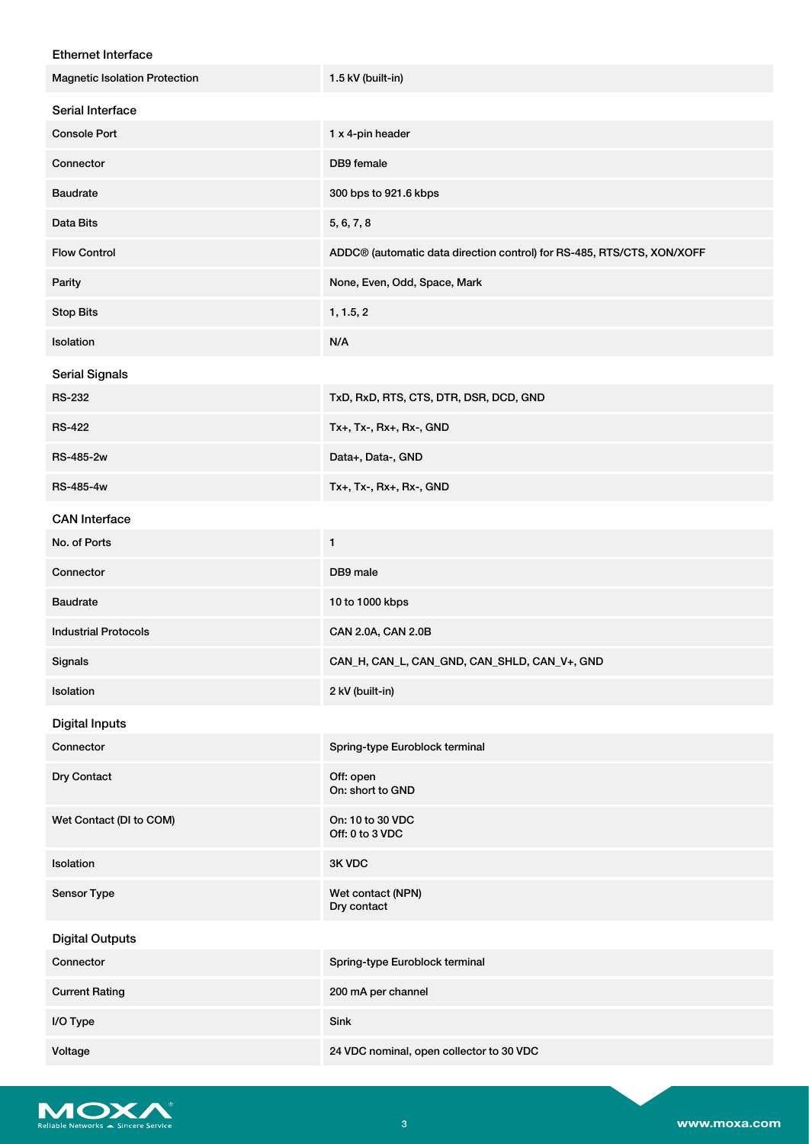| <b>Ethernet Interface</b>            |                                                                        |
|--------------------------------------|------------------------------------------------------------------------|
| <b>Magnetic Isolation Protection</b> | 1.5 kV (built-in)                                                      |
| Serial Interface                     |                                                                        |
| <b>Console Port</b>                  | 1 x 4-pin header                                                       |
| Connector                            | DB9 female                                                             |
| <b>Baudrate</b>                      | 300 bps to 921.6 kbps                                                  |
| Data Bits                            | 5, 6, 7, 8                                                             |
| <b>Flow Control</b>                  | ADDC® (automatic data direction control) for RS-485, RTS/CTS, XON/XOFF |
| Parity                               | None, Even, Odd, Space, Mark                                           |
| <b>Stop Bits</b>                     | 1, 1.5, 2                                                              |
| Isolation                            | N/A                                                                    |
| <b>Serial Signals</b>                |                                                                        |
| <b>RS-232</b>                        | TxD, RxD, RTS, CTS, DTR, DSR, DCD, GND                                 |
| <b>RS-422</b>                        | Tx+, Tx-, Rx+, Rx-, GND                                                |
| RS-485-2w                            | Data+, Data-, GND                                                      |
| RS-485-4w                            | Tx+, Tx-, Rx+, Rx-, GND                                                |
| <b>CAN</b> Interface                 |                                                                        |
| No. of Ports                         | 1                                                                      |
| Connector                            | DB9 male                                                               |
| <b>Baudrate</b>                      | 10 to 1000 kbps                                                        |
| <b>Industrial Protocols</b>          | CAN 2.0A, CAN 2.0B                                                     |
| Signals                              | CAN_H, CAN_L, CAN_GND, CAN_SHLD, CAN_V+, GND                           |
| Isolation                            | 2 kV (built-in)                                                        |
| <b>Digital Inputs</b>                |                                                                        |
| Connector                            | Spring-type Euroblock terminal                                         |
| Dry Contact                          | Off: open<br>On: short to GND                                          |
| Wet Contact (DI to COM)              | On: 10 to 30 VDC<br>Off: 0 to 3 VDC                                    |
| Isolation                            | 3K VDC                                                                 |
| Sensor Type                          | Wet contact (NPN)<br>Dry contact                                       |
| <b>Digital Outputs</b>               |                                                                        |
| Connector                            | Spring-type Euroblock terminal                                         |
| <b>Current Rating</b>                | 200 mA per channel                                                     |
| I/O Type                             | Sink                                                                   |
| Voltage                              | 24 VDC nominal, open collector to 30 VDC                               |

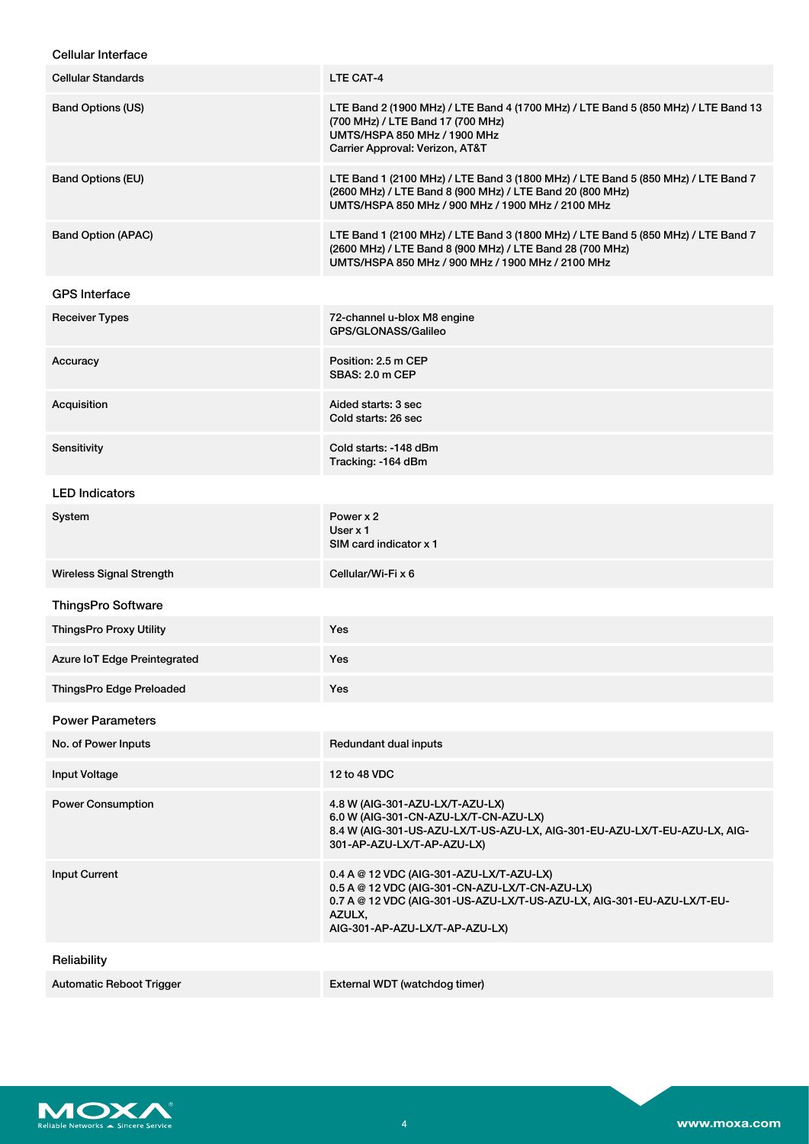| <b>Cellular Interface</b>       |                                                                                                                                                                                                                  |
|---------------------------------|------------------------------------------------------------------------------------------------------------------------------------------------------------------------------------------------------------------|
| Cellular Standards              | LTE CAT-4                                                                                                                                                                                                        |
| <b>Band Options (US)</b>        | LTE Band 2 (1900 MHz) / LTE Band 4 (1700 MHz) / LTE Band 5 (850 MHz) / LTE Band 13<br>(700 MHz) / LTE Band 17 (700 MHz)<br>UMTS/HSPA 850 MHz / 1900 MHz<br>Carrier Approval: Verizon, AT&T                       |
| <b>Band Options (EU)</b>        | LTE Band 1 (2100 MHz) / LTE Band 3 (1800 MHz) / LTE Band 5 (850 MHz) / LTE Band 7<br>(2600 MHz) / LTE Band 8 (900 MHz) / LTE Band 20 (800 MHz)<br>UMTS/HSPA 850 MHz / 900 MHz / 1900 MHz / 2100 MHz              |
| <b>Band Option (APAC)</b>       | LTE Band 1 (2100 MHz) / LTE Band 3 (1800 MHz) / LTE Band 5 (850 MHz) / LTE Band 7<br>(2600 MHz) / LTE Band 8 (900 MHz) / LTE Band 28 (700 MHz)<br>UMTS/HSPA 850 MHz / 900 MHz / 1900 MHz / 2100 MHz              |
| <b>GPS Interface</b>            |                                                                                                                                                                                                                  |
| <b>Receiver Types</b>           | 72-channel u-blox M8 engine<br>GPS/GLONASS/Galileo                                                                                                                                                               |
| Accuracy                        | Position: 2.5 m CEP<br>SBAS: 2.0 m CEP                                                                                                                                                                           |
| Acquisition                     | Aided starts: 3 sec<br>Cold starts: 26 sec                                                                                                                                                                       |
| Sensitivity                     | Cold starts: -148 dBm<br>Tracking: -164 dBm                                                                                                                                                                      |
| <b>LED Indicators</b>           |                                                                                                                                                                                                                  |
| System                          | Power x 2<br>User $x$ 1<br>SIM card indicator x 1                                                                                                                                                                |
| <b>Wireless Signal Strength</b> | Cellular/Wi-Fi x 6                                                                                                                                                                                               |
| <b>ThingsPro Software</b>       |                                                                                                                                                                                                                  |
| <b>ThingsPro Proxy Utility</b>  | Yes                                                                                                                                                                                                              |
| Azure IoT Edge Preintegrated    | Yes                                                                                                                                                                                                              |
| ThingsPro Edge Preloaded        | Yes                                                                                                                                                                                                              |
| <b>Power Parameters</b>         |                                                                                                                                                                                                                  |
| No. of Power Inputs             | Redundant dual inputs                                                                                                                                                                                            |
| Input Voltage                   | 12 to 48 VDC                                                                                                                                                                                                     |
| <b>Power Consumption</b>        | 4.8 W (AIG-301-AZU-LX/T-AZU-LX)<br>6.0 W (AIG-301-CN-AZU-LX/T-CN-AZU-LX)<br>8.4 W (AIG-301-US-AZU-LX/T-US-AZU-LX, AIG-301-EU-AZU-LX/T-EU-AZU-LX, AIG-<br>301-AP-AZU-LX/T-AP-AZU-LX)                              |
| <b>Input Current</b>            | 0.4 A @ 12 VDC (AIG-301-AZU-LX/T-AZU-LX)<br>0.5 A @ 12 VDC (AIG-301-CN-AZU-LX/T-CN-AZU-LX)<br>0.7 A @ 12 VDC (AIG-301-US-AZU-LX/T-US-AZU-LX, AIG-301-EU-AZU-LX/T-EU-<br>AZULX,<br>AIG-301-AP-AZU-LX/T-AP-AZU-LX) |
| Reliability                     |                                                                                                                                                                                                                  |
| <b>Automatic Reboot Trigger</b> | External WDT (watchdog timer)                                                                                                                                                                                    |

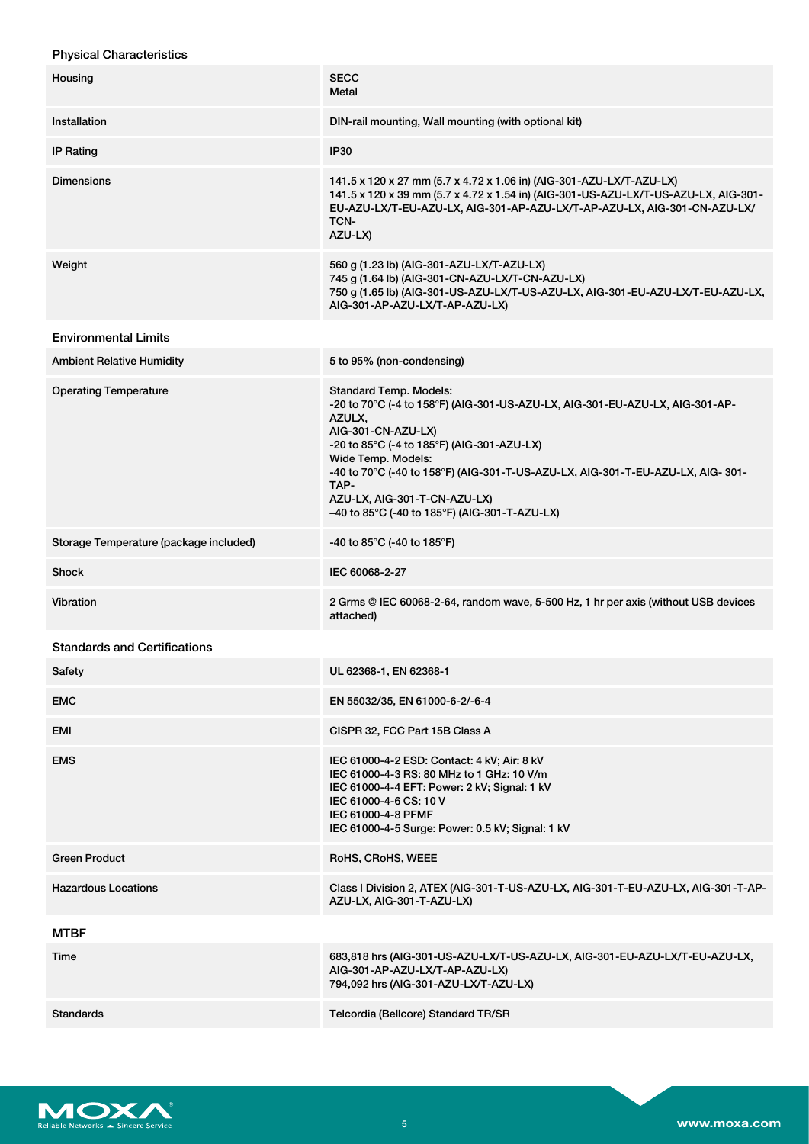| <b>Physical Characteristics</b>        |                                                                                                                                                                                                                                                                                                                                                                                                |
|----------------------------------------|------------------------------------------------------------------------------------------------------------------------------------------------------------------------------------------------------------------------------------------------------------------------------------------------------------------------------------------------------------------------------------------------|
| Housing                                | <b>SECC</b><br>Metal                                                                                                                                                                                                                                                                                                                                                                           |
| Installation                           | DIN-rail mounting, Wall mounting (with optional kit)                                                                                                                                                                                                                                                                                                                                           |
| <b>IP Rating</b>                       | <b>IP30</b>                                                                                                                                                                                                                                                                                                                                                                                    |
| <b>Dimensions</b>                      | 141.5 x 120 x 27 mm (5.7 x 4.72 x 1.06 in) (AIG-301-AZU-LX/T-AZU-LX)<br>141.5 x 120 x 39 mm (5.7 x 4.72 x 1.54 in) (AIG-301-US-AZU-LX/T-US-AZU-LX, AIG-301-<br>EU-AZU-LX/T-EU-AZU-LX, AIG-301-AP-AZU-LX/T-AP-AZU-LX, AIG-301-CN-AZU-LX/<br>TCN-<br>AZU-LX)                                                                                                                                     |
| Weight                                 | 560 g (1.23 lb) (AIG-301-AZU-LX/T-AZU-LX)<br>745 g (1.64 lb) (AIG-301-CN-AZU-LX/T-CN-AZU-LX)<br>750 g (1.65 lb) (AIG-301-US-AZU-LX/T-US-AZU-LX, AIG-301-EU-AZU-LX/T-EU-AZU-LX,<br>AIG-301-AP-AZU-LX/T-AP-AZU-LX)                                                                                                                                                                               |
| <b>Environmental Limits</b>            |                                                                                                                                                                                                                                                                                                                                                                                                |
| Ambient Relative Humidity              | 5 to 95% (non-condensing)                                                                                                                                                                                                                                                                                                                                                                      |
| <b>Operating Temperature</b>           | <b>Standard Temp. Models:</b><br>-20 to 70°C (-4 to 158°F) (AIG-301-US-AZU-LX, AIG-301-EU-AZU-LX, AIG-301-AP-<br>AZULX,<br>AIG-301-CN-AZU-LX)<br>$-20$ to 85°C (-4 to 185°F) (AIG-301-AZU-LX)<br>Wide Temp. Models:<br>-40 to 70°C (-40 to 158°F) (AIG-301-T-US-AZU-LX, AIG-301-T-EU-AZU-LX, AIG-301-<br>TAP-<br>AZU-LX, AIG-301-T-CN-AZU-LX)<br>-40 to 85°C (-40 to 185°F) (AIG-301-T-AZU-LX) |
| Storage Temperature (package included) | -40 to 85 $^{\circ}$ C (-40 to 185 $^{\circ}$ F)                                                                                                                                                                                                                                                                                                                                               |
| Shock                                  | IEC 60068-2-27                                                                                                                                                                                                                                                                                                                                                                                 |
| Vibration                              | 2 Grms @ IEC 60068-2-64, random wave, 5-500 Hz, 1 hr per axis (without USB devices<br>attached)                                                                                                                                                                                                                                                                                                |
| <b>Standards and Certifications</b>    |                                                                                                                                                                                                                                                                                                                                                                                                |
| Safety                                 | UL 62368-1, EN 62368-1                                                                                                                                                                                                                                                                                                                                                                         |
| EMC                                    | EN 55032/35, EN 61000-6-2/-6-4                                                                                                                                                                                                                                                                                                                                                                 |
| EMI                                    | CISPR 32, FCC Part 15B Class A                                                                                                                                                                                                                                                                                                                                                                 |
| <b>EMS</b>                             | IEC 61000-4-2 ESD: Contact: 4 kV; Air: 8 kV<br>IEC 61000-4-3 RS: 80 MHz to 1 GHz: 10 V/m<br>IEC 61000-4-4 EFT: Power: 2 kV; Signal: 1 kV<br>IEC 61000-4-6 CS: 10 V<br>IEC 61000-4-8 PFMF<br>IEC 61000-4-5 Surge: Power: 0.5 kV; Signal: 1 kV                                                                                                                                                   |
| Green Product                          | RoHS, CRoHS, WEEE                                                                                                                                                                                                                                                                                                                                                                              |
| <b>Hazardous Locations</b>             | Class I Division 2, ATEX (AIG-301-T-US-AZU-LX, AIG-301-T-EU-AZU-LX, AIG-301-T-AP-<br>AZU-LX, AIG-301-T-AZU-LX)                                                                                                                                                                                                                                                                                 |
| MTBF                                   |                                                                                                                                                                                                                                                                                                                                                                                                |
| Time                                   | 683,818 hrs (AIG-301-US-AZU-LX/T-US-AZU-LX, AIG-301-EU-AZU-LX/T-EU-AZU-LX,<br>AIG-301-AP-AZU-LX/T-AP-AZU-LX)<br>794,092 hrs (AIG-301-AZU-LX/T-AZU-LX)                                                                                                                                                                                                                                          |



Standards Telcordia (Bellcore) Standard TR/SR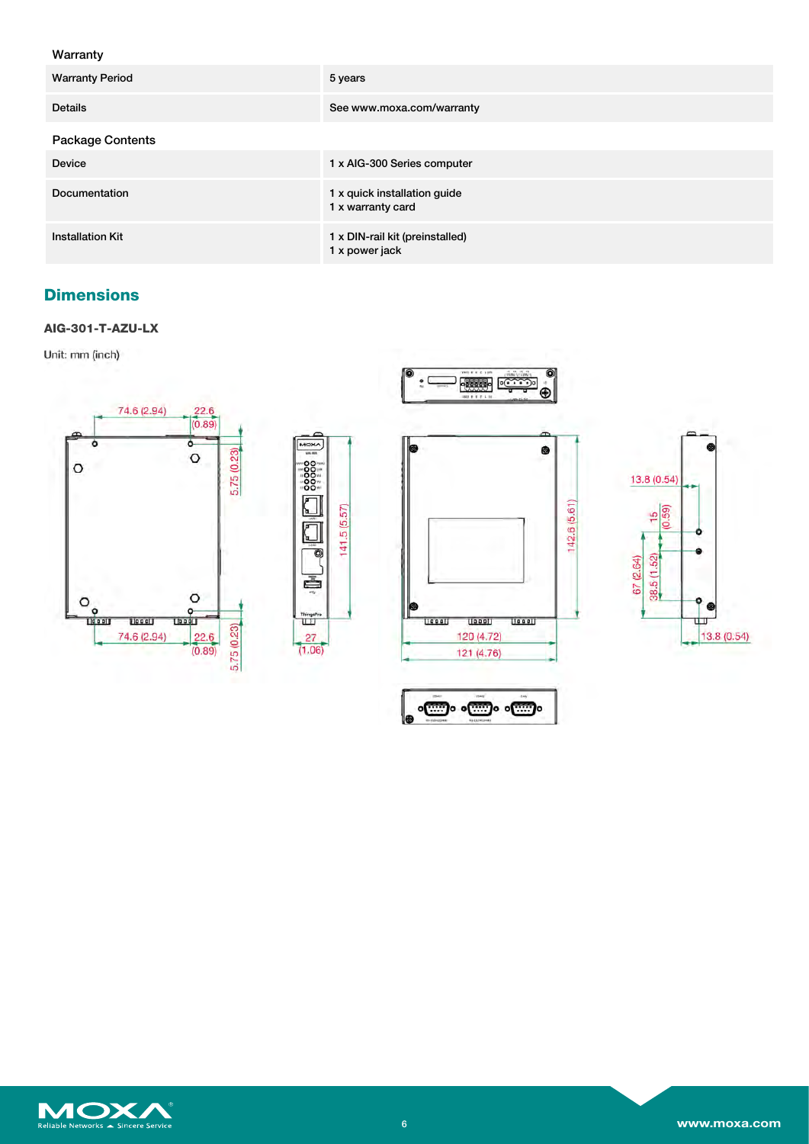## Warranty

| <b>Warranty Period</b>  | 5 years                                           |
|-------------------------|---------------------------------------------------|
| <b>Details</b>          | See www.moxa.com/warranty                         |
| Package Contents        |                                                   |
| <b>Device</b>           | 1 x AIG-300 Series computer                       |
| Documentation           | 1 x quick installation guide<br>1 x warranty card |
| <b>Installation Kit</b> | 1 x DIN-rail kit (preinstalled)<br>1 x power jack |

Ie

Ussell

# **Dimensions**

### **AIG-301-T-AZU-LX**

Unit: mm (inch)











Leeply

120 (4.72)

121 (4.76)

<u>[[000]</u>

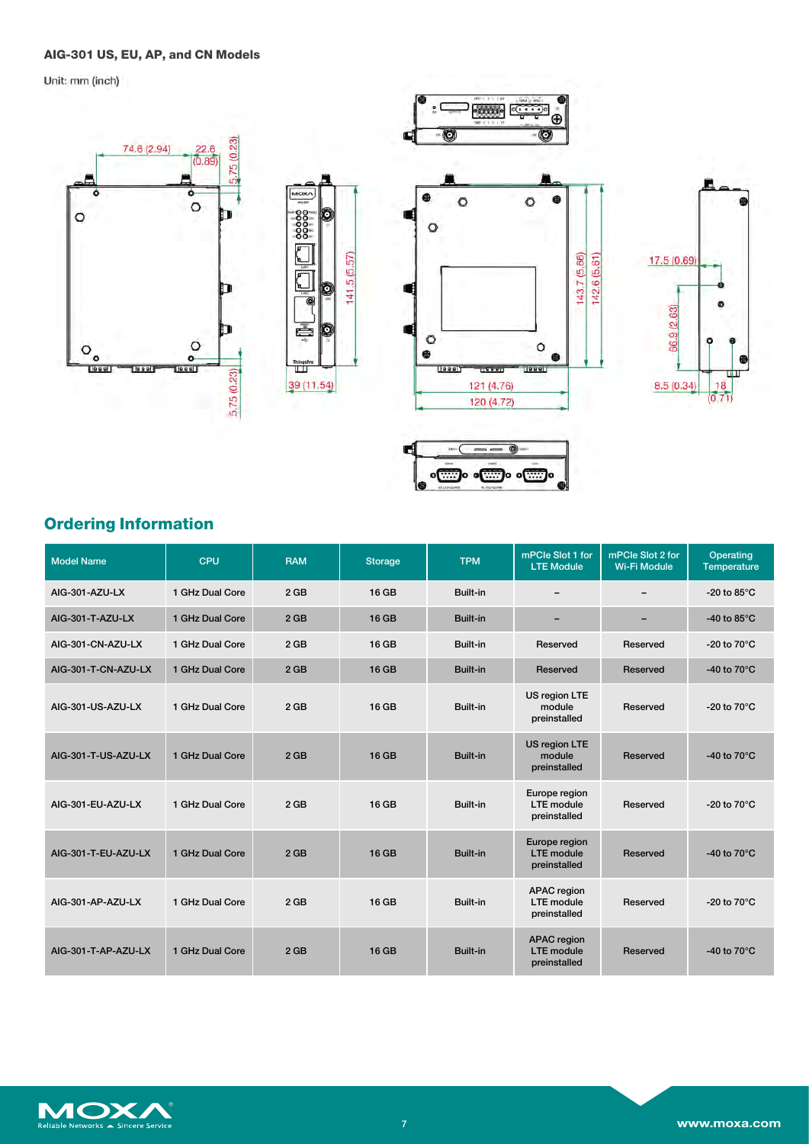## **AIG-301 US, EU, AP, and CN Models**

Unit: mm (inch)



|  | <b>Ordering Information</b> |
|--|-----------------------------|
|--|-----------------------------|

| <b>Model Name</b>   | CPU             | <b>RAM</b>      | <b>Storage</b> | <b>TPM</b>      | mPCle Slot 1 for<br><b>LTE Module</b>                   | mPCle Slot 2 for<br><b>Wi-Fi Module</b> | Operating<br><b>Temperature</b> |
|---------------------|-----------------|-----------------|----------------|-----------------|---------------------------------------------------------|-----------------------------------------|---------------------------------|
| AIG-301-AZU-LX      | 1 GHz Dual Core | $2$ GB          | 16 GB          | Built-in        | $\overline{\phantom{0}}$                                |                                         | -20 to 85 $\degree$ C           |
| AIG-301-T-AZU-LX    | 1 GHz Dual Core | 2 <sub>GB</sub> | 16 GB          | Built-in        | $\overline{\phantom{0}}$                                | -                                       | -40 to 85 $\degree$ C           |
| AIG-301-CN-AZU-LX   | 1 GHz Dual Core | 2 <sub>GB</sub> | 16 GB          | Built-in        | Reserved                                                | Reserved                                | -20 to $70^{\circ}$ C           |
| AIG-301-T-CN-AZU-LX | 1 GHz Dual Core | 2 <sub>GB</sub> | 16 GB          | Built-in        | Reserved                                                | Reserved                                | -40 to $70^{\circ}$ C           |
| AIG-301-US-AZU-LX   | 1 GHz Dual Core | 2 <sub>GB</sub> | 16 GB          | Built-in        | US region LTE<br>module<br>preinstalled                 | Reserved                                | -20 to $70^{\circ}$ C           |
| AIG-301-T-US-AZU-LX | 1 GHz Dual Core | 2 <sub>GB</sub> | <b>16 GB</b>   | Built-in        | US region LTE<br>module<br>preinstalled                 | Reserved                                | -40 to $70^{\circ}$ C           |
| AIG-301-EU-AZU-LX   | 1 GHz Dual Core | $2$ GB          | 16 GB          | Built-in        | Europe region<br><b>LTE</b> module<br>preinstalled      | Reserved                                | -20 to $70^{\circ}$ C           |
| AIG-301-T-EU-AZU-LX | 1 GHz Dual Core | 2 <sub>GB</sub> | <b>16 GB</b>   | Built-in        | Europe region<br><b>LTE</b> module<br>preinstalled      | Reserved                                | -40 to $70^{\circ}$ C           |
| AIG-301-AP-AZU-LX   | 1 GHz Dual Core | 2 <sub>GB</sub> | 16 GB          | Built-in        | <b>APAC</b> region<br><b>LTE</b> module<br>preinstalled | Reserved                                | -20 to $70^{\circ}$ C           |
| AIG-301-T-AP-AZU-LX | 1 GHz Dual Core | 2 <sub>GB</sub> | <b>16 GB</b>   | <b>Built-in</b> | <b>APAC</b> region<br><b>LTE</b> module<br>preinstalled | Reserved                                | -40 to $70^{\circ}$ C           |